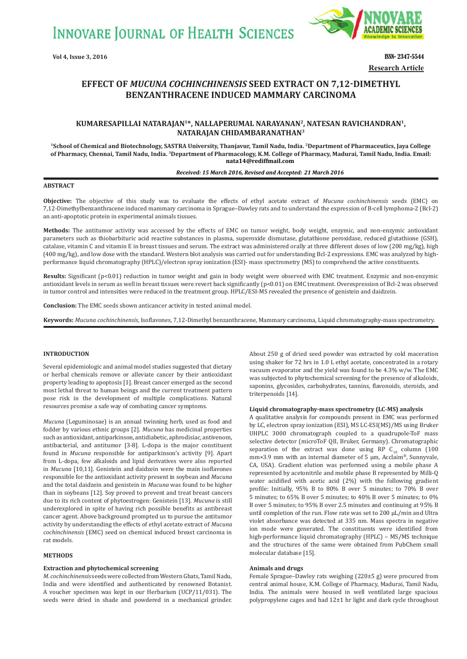**INNOVARE JOURNAL OF HEALTH SCIENCES** 



**Vol 4, Issue 3, 2016 ISSN- 2347-5544 Research Article**

# **EFFECT OF MUCUNA COCHINCHINENSIS SEED EXTRACT ON 7,12<sup>-</sup>DIMETHYL BENZANTHRACENE INDUCED MAMMARY CARCINOMA**

## **KUMARESAPILLAI NATARAJAN1\*, NALLAPERUMAL NARAYANAN2, NATESAN RAVICHANDRAN1, NATARAJAN CHIDAMBARANATHAN3**

**1School of Chemical and Biotechnology, SASTRA University, Thanjavur, Tamil Nadu, India. 2Department of Pharmaceutics, Jaya College of Pharmacy, Chennai, Tamil Nadu, India. 3Department of Pharmacology, K.M. College of Pharmacy, Madurai, Tamil Nadu, India. Email: nata14@rediffmail.com**

#### *Received: 15 March 2016, Revised and Accepted: 21 March 2016*

## **ABSTRACT**

**Objective:** The objective of this study was to evaluate the effects of ethyl acetate extract of *Mucuna cochinchinensis* seeds (EMC) on 7,12-Dimethylbenzanthracene induced mammary carcinoma in Sprague–Dawley rats and to understand the expression of B-cell lymphoma-2 (Bcl-2) an anti-apoptotic protein in experimental animals tissues.

**Methods:** The antitumor activity was accessed by the effects of EMC on tumor weight, body weight, enzymic, and non-enzymic antioxidant parameters such as thiobarbituric acid reactive substances in plasma, superoxide dismutase, glutathione peroxidase, reduced glutathione (GSH), catalase, vitamin C and vitamin E in breast tissues and serum. The extract was administered orally at three different doses of low (200 mg/kg), high (400 mg/kg), and low dose with the standard. Western blot analysis was carried out for understanding Bcl-2 expressions. EMC was analyzed by highperformance liquid chromatography (HPLC)/electron spray ionization (ESI)- mass spectrometry (MS) to comprehend the active constituents.

Results: Significant (p<0.01) reduction in tumor weight and gain in body weight were observed with EMC treatment. Enzymic and non-enzymic antioxidant levels in serum as well in breast tissues were revert back significantly (p<0.01) on EMC treatment. Overexpression of Bcl-2 was observed in tumor control and intensities were reduced in the treatment group. HPLC/ESI-MS revealed the presence of genistein and daidzein.

**Conclusion:** The EMC seeds shown anticancer activity in tested animal model.

**Keywords:** *Mucuna cochinchinensis*, Isoflavones, 7,12-Dimethyl benzanthracene, Mammary carcinoma, Liquid chromatography-mass spectrometry.

## **INTRODUCTION**

Several epidemiologic and animal model studies suggested that dietary or herbal chemicals remove or alleviate cancer by their antioxidant property leading to apoptosis [1]. Breast cancer emerged as the second most lethal threat to human beings and the current treatment pattern pose risk in the development of multiple complications. Natural resources promise a safe way of combating cancer symptoms.

*Mucuna* (Leguminosae) is an annual twinning herb, used as food and fodder by various ethnic groups [2]. *Mucuna* has medicinal properties such as antioxidant, antiparkinson, antidiabetic, aphrodisiac, antivenom, antibacterial, and antitumor [3-8]. L-dopa is the major constituent found in *Mucuna* responsible for antiparkinson's activity [9]. Apart from L-dopa, few alkaloids and lipid derivatives were also reported in *Mucuna* [10,11]. Genistein and daidzein were the main isoflavones responsible for the antioxidant activity present in soybean and *Mucuna*  and the total daidzein and genistein in *Mucuna* was found to be higher than in soybeans [12]. Soy proved to prevent and treat breast cancers due to its rich content of phytoestrogen: Genistein [13]. *Mucuna* is still underexplored in spite of having rich possible benefits as antibreast cancer agent. Above background prompted us to pursue the antitumor activity by understanding the effects of ethyl acetate extract of *Mucuna cochinchinensis* (EMC) seed on chemical induced breast carcinoma in rat models.

## **METHODS**

## **Extraction and phytochemical screening**

*M. cochinchinensis* seeds were collected from Western Ghats, Tamil Nadu, India and were identified and authenticated by renowned Botanist. A voucher specimen was kept in our Herbarium (UCP/11/031). The seeds were dried in shade and powdered in a mechanical grinder.

About 250 g of dried seed powder was extracted by cold maceration using shaker for 72 hrs in 1.0 L ethyl acetate, concentrated in a rotary vacuum evaporator and the yield was found to be 4.3% w/w. The EMC was subjected to phytochemical screening for the presence of alkaloids, saponins, glycosides, carbohydrates, tannins, flavonoids, steroids, and triterpenoids [14].

### **Liquid chromatography-mass spectrometry (LC-MS) analysis**

A qualitative analysis for compounds present in EMC was performed by LC, electron spray ionization (ESI), MS LC-ESI(MS)/MS using Bruker UHPLC 3000 chromatograph coupled to a quadrupole-ToF mass selective detector (microToF QII, Bruker, Germany). Chromatographic separation of the extract was done using RP  $C_{18}$  column (100 mm×3.9 mm with an internal diameter of 5 μm, Acclaim®, Sunnyvale, CA, USA). Gradient elution was performed using a mobile phase A represented by acetonitrile and mobile phase B represented by Milli-Q water acidified with acetic acid (2%) with the following gradient profile: Initially, 95% B to 80% B over 5 minutes; to 70% B over 5 minutes; to 65% B over 5 minutes; to 40% B over 5 minutes; to 0% B over 5 minutes; to 95% B over 2.5 minutes and continuing at 95% B until completion of the run. Flow rate was set to 200 μL/min and Ultra violet absorbance was detected at 335 nm. Mass spectra in negative ion mode were generated. The constituents were identified from high-performance liquid chromatography (HPLC) – MS/MS technique and the structures of the same were obtained from PubChem small molecular database [15].

## **Animals and drugs**

Female Sprague–Dawley rats weighing (220±5 g) were procured from central animal house, K.M. College of Pharmacy, Madurai, Tamil Nadu, India. The animals were housed in well ventilated large spacious polypropylene cages and had 12±1 hr light and dark cycle throughout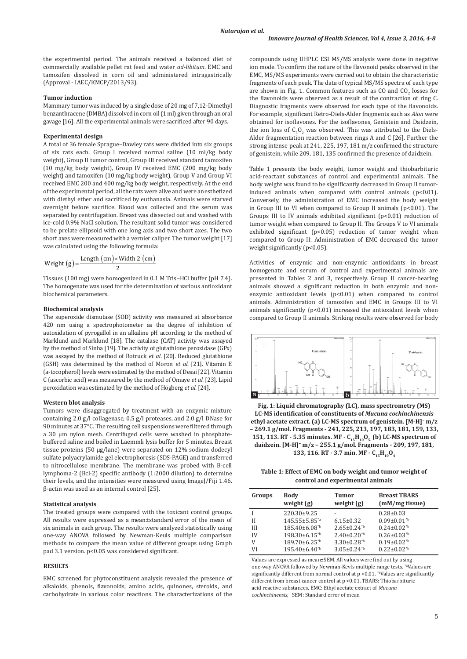the experimental period. The animals received a balanced diet of commercially available pellet rat feed and water *ad-libitum*. EMC and tamoxifen dissolved in corn oil and administered intragastrically (Approval - IAEC/KMCP/2013/93).

## **Tumor induction**

Mammary tumor was induced by a single dose of 20 mg of 7,12-Dimethyl benzanthracene (DMBA) dissolved in corn oil (1 ml) given through an oral gavage [16]. All the experimental animals were sacrificed after 90 days.

## **Experimental design**

A total of 36 female Sprague–Dawley rats were divided into six groups of six rats each. Group I received normal saline (10 ml/kg body weight), Group II tumor control, Group III received standard tamoxifen (10 mg/kg body weight), Group IV received EMC (200 mg/kg body weight) and tamoxifen (10 mg/kg body weight), Group V and Group VI received EMC 200 and 400 mg/kg body weight, respectively. At the end of the experimental period, all the rats were alive and were anesthetized with diethyl ether and sacrificed by euthanasia. Animals were starved overnight before sacrifice. Blood was collected and the serum was separated by centrifugation. Breast was dissected out and washed with ice-cold 0.9% NaCl solution. The resultant solid tumor was considered to be prelate ellipsoid with one long axis and two short axes. The two short axes were measured with a vernier caliper. The tumor weight [17] was calculated using the following formula:

$$
Weight (g) = \frac{Length (cm) \times Width 2 (cm)}{2}
$$

Tissues (100 mg) were homogenized in 0.1 M Tris–HCl buffer (pH 7.4). The homogenate was used for the determination of various antioxidant biochemical parameters.

#### **Biochemical analysis**

The superoxide dismutase (SOD) activity was measured at absorbance 420 nm using a spectrophotometer as the degree of inhibition of autoxidation of pyrogallol in an alkaline pH according to the method of Marklund and Marklund [18]. The catalase (CAT) activity was assayed by the method of Sinha [19]. The activity of glutathione peroxidase (GPx) was assayed by the method of Rotruck *et al*. [20]. Reduced glutathione (GSH) was determined by the method of Moron *et al*. [21]. Vitamin E (a-tocopherol) levels were estimated by the method of Desai [22]. Vitamin C (ascorbic acid) was measured by the method of Omaye *et al.* [23]. Lipid peroxidation was estimated by the method of Högberg *et al*. [24].

#### **Western blot analysis**

Tumors were disaggregated by treatment with an enzymic mixture containing 2.0 g/l collagenase, 0.5 g/l proteases, and 2.0 g/l DNase for 90 minutes at 37°C. The resulting cell suspensions were filtered through a 30 μm nylon mesh. Centrifuged cells were washed in phosphatebuffered saline and boiled in Laemmli lysis buffer for 5 minutes. Breast tissue proteins (50 μg/lane) were separated on 12% sodium dodecyl sulfate polyacrylamide gel electrophoresis (SDS-PAGE) and transferred to nitrocellulose membrane. The membrane was probed with B-cell lymphoma-2 (Bcl-2) specific antibody (1:2000 dilution) to determine their levels, and the intensities were measured using ImageJ/Fiji 1.46. β-actin was used as an internal control [25].

#### **Statistical analysis**

The treated groups were compared with the toxicant control groups. All results were expressed as a mean±standard error of the mean of six animals in each group. The results were analyzed statistically using one-way ANOVA followed by Newman-Keuls multiple comparison methods to compare the mean value of different groups using Graph pad 3.1 version. p<0.05 was considered significant.

#### **RESULTS**

EMC screened for phytoconstituent analysis revealed the presence of alkaloids, phenols, flavonoids, amino acids, quinones, steroids, and carbohydrate in various color reactions. The characterizations of the

compounds using UHPLC ESI MS/MS analysis were done in negative ion mode. To confirm the nature of the flavonoid peaks observed in the EMC, MS/MS experiments were carried out to obtain the characteristic fragments of each peak. The data of typical MS/MS spectra of each type are shown in Fig. 1. Common features such as CO and  $\mathrm{CO}_2$  losses for the flavonoids were observed as a result of the contraction of ring C. Diagnostic fragments were observed for each type of the flavonoids. For example, significant Retro-Diels-Alder fragments such as *Aion* were obtained for isoflavones. For the isoflavones, Genistein and Daidzein, the ion loss of  $C_3O_2$  was observed. This was attributed to the Diels-Alder fragmentation reaction between rings A and C [26]. Further the strong intense peak at 241, 225, 197, 181 m/z confirmed the structure of genistein, while 209, 181, 135 confirmed the presence of daidzein.

Table 1 presents the body weight, tumor weight and thiobarbituric acid-reactant substances of control and experimental animals. The body weight was found to be significantly decreased in Group II tumorinduced animals when compared with control animals (p<0.01). Conversely, the administration of EMC increased the body weight in Group III to VI when compared to Group II animals (p<0.01). The Groups III to IV animals exhibited significant (p<0.01) reduction of tumor weight when compared to Group II. The Groups V to VI animals exhibited significant (p<0.05) reduction of tumor weight when compared to Group II. Administration of EMC decreased the tumor weight significantly (p<0.05).

Activities of enzymic and non-enzymic antioxidants in breast homogenate and serum of control and experimental animals are presented in Tables 2 and 3, respectively. Group II cancer-bearing animals showed a significant reduction in both enzymic and nonenzymic antioxidant levels (p<0.01) when compared to control animals. Administration of tamoxifen and EMC in Groups III to VI animals significantly  $(p<0.01)$  increased the antioxidant levels when compared to Group II animals. Striking results were observed for body



**Fig. 1: Liquid chromatography (LC), mass spectrometry (MS) LC-MS identification of constituents of** *Mucuna cochinchinensis* **ethyl acetate extract. (a) LC-MS spectrum of genistein. [M-H]− m/z – 269.1 g/mol. Fragments - 241, 225, 213, 197, 183, 181, 159, 133,**  151, 113. RT - 5.35 minutes. MF - C<sub>15</sub>H<sub>10</sub>O<sub>5.</sub> (b) LC-MS spectrum of **daidzein. [M-H]− m/z – 255.1 g/mol. Fragments - 209, 197, 181, 133, 116. RT - 3.7 min. MF - C<sub>15</sub>H<sub>10</sub>O<sub>4</sub>** 

**Table 1: Effect of EMC on body weight and tumor weight of control and experimental animals**

| Groups | <b>Body</b><br>weight $(g)$ | <b>Tumor</b><br>weight $(g)$  | <b>Breast TBARS</b><br>(mM/mg tissue) |
|--------|-----------------------------|-------------------------------|---------------------------------------|
|        | 220.30±9.25                 |                               | $0.28 \pm 0.03$                       |
| Н      | 145.55±5.85 <sup>*a</sup>   | $6.15 \pm 0.32$               | $0.09 \pm 0.01^{*b}$                  |
| Ш      | 185.40±6.08 <sup>*b</sup>   | $2.65 \pm 0.24^{\text{th}}$   | $0.24 \pm 0.02^{*b}$                  |
| IV     | $198.30\pm6.15^{b}$         | $2.40\pm0.20^{*b}$            | $0.26 \pm 0.03^{*b}$                  |
| V      | 189.70±6.25 <sup>*b</sup>   | $3.30 \pm 0.28$ <sup>*b</sup> | $0.19\pm0.02^{*b}$                    |
| VI     | $195.40\pm6.40^{*b}$        | $3.05 \pm 0.24$ <sup>*b</sup> | $0.22 \pm 0.02^{*b}$                  |

Values are expressed as mean±SEM. All values were find out by using one-way ANOVA followed by Newman-Kevls multiple range tests. \*aValues are significantly different from normal control at  $p < 0.01$ . \*bValues are significantly different from breast cancer control at p <0.01. TBARS: Thiobarbituric acid reactive substances, EMC: Ethyl acetate extract of *Mucuna cochinchinensis*, SEM: Standard error of mean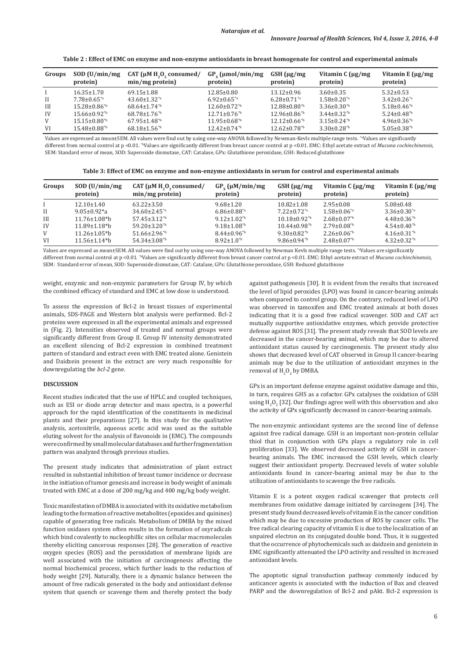|  |  | Table 2 : Effect of EMC on enzyme and non-enzyme antioxidants in breast homogenate for control and experimental animals |
|--|--|-------------------------------------------------------------------------------------------------------------------------|
|  |  |                                                                                                                         |

| Groups | SOD (U/min/mg)<br>protein)       | CAT ( $\mu$ M H <sub>2</sub> O <sub>2</sub> consumed/<br>$min/mg$ protein) | $GP_v$ (µmol/min/mg<br>protein) | $GSH$ ( $\mu$ g/mg<br>protein) | Vitamin $C(\mu g/mg)$<br>protein) | Vitamin E $\mu$ g/mg<br>protein) |
|--------|----------------------------------|----------------------------------------------------------------------------|---------------------------------|--------------------------------|-----------------------------------|----------------------------------|
|        | $16.35 \pm 1.70$                 | $69.15 \pm 1.88$                                                           | $12.85 \pm 0.80$                | $13.12 \pm 0.96$               | $3.60 \pm 0.35$                   | $5.32 \pm 0.53$                  |
| II     | $7.78 \pm 0.65^{*}$ <sup>a</sup> | $43.60 \pm 1.32^{*}$                                                       | $6.92 \pm 0.65^{*}$             | $6.28 \pm 0.71$ <sup>*a</sup>  | $1.58 \pm 0.20^{*}$               | $3.42 \pm 0.26$ <sup>*a</sup>    |
| H      | $15.28 \pm 0.86^{\text{*b}}$     | $68.64 \pm 1.74$ <sup>*b</sup>                                             | $12.60 \pm 0.72^{b}$            | $12.88 \pm 0.80^{*b}$          | $3.36 \pm 0.30^{\text{*b}}$       | $5.18 \pm 0.46^{\text{th}}$      |
| IV     | $15.66 \pm 0.92^{\text{th}}$     | $68.78 \pm 1.76$ <sup>*b</sup>                                             | $12.71 \pm 0.76$ <sup>*b</sup>  | $12.96 \pm 0.86^{\text{*b}}$   | $3.44\pm0.32^{*b}$                | $5.24 \pm 0.48^{\text{th}}$      |
| V      | $15.15 \pm 0.80^{\text{th}}$     | $67.95 \pm 1.48^{\text{th}}$                                               | $11.95 \pm 0.68^{\text{*b}}$    | $12.12 \pm 0.66^{*b}$          | $3.15 \pm 0.24^{\text{th}}$       | $4.96 \pm 0.36$ <sup>*b</sup>    |
| VI     | $15.48\pm0.88^{*b}$              | $68.18 \pm 1.56^{*b}$                                                      | $12.42 \pm 0.74$ <sup>*b</sup>  | $12.62 \pm 0.78$ <sup>*b</sup> | $3.30\pm0.28^{*b}$                | $5.05 \pm 0.38$ <sup>*b</sup>    |

Values are expressed as mean±SEM. All values were find out by using one-way ANOVA followed by Newman-Kevls multiple range tests. \*aValues are significantly different from normal control at p <0.01. <sup>\*</sup>Values are significantly different from breast cancer control at p <0.01. EMC: Ethyl acetate extract of *Mucuna cochinchinensis*, SEM: Standard error of mean, SOD: Superoxide dismutase, CAT: Catalase, GPx: Glutathione peroxidase, GSH: Reduced glutathione

| Table 3: Effect of EMC on enzyme and non-enzyme antioxidants in serum for control and experimental animals |  |  |
|------------------------------------------------------------------------------------------------------------|--|--|
|                                                                                                            |  |  |

| Groups       | SOD (U/min/mg)<br>protein)      | CAT ( $\mu$ M H <sub>2</sub> O <sub>2</sub> , consumed/<br>$min/mg$ protein) | $GP_{y}$ ( $\mu M/min/mg$<br>protein) | $GSH$ ( $\mu$ g/mg<br>protein) | Vitamin $C \mu g/mg$<br>protein) | Vitamin E $\mu$ g/mg<br>protein) |
|--------------|---------------------------------|------------------------------------------------------------------------------|---------------------------------------|--------------------------------|----------------------------------|----------------------------------|
|              | $12.10 \pm 1.40$                | $63.22 \pm 3.50$                                                             | $9.68 \pm 1.20$                       | $10.82 \pm 1.08$               | $2.95 \pm 0.08$                  | $5.08 \pm 0.48$                  |
| $\mathbf{H}$ | $9.05 \pm 0.92$ <sup>*</sup> a  | $34.60 \pm 2.45$ <sup>*a</sup>                                               | $6.86 \pm 0.88$ <sup>*a</sup>         | $7.22 \pm 0.72$ <sup>*a</sup>  | $1.58 \pm 0.06^{*a}$             | $3.36 \pm 0.30^{*}$ a            |
| III          | $11.76 \pm 1.08$ <sup>*</sup> b | $57.45 \pm 3.12^{b}$                                                         | $9.12 \pm 1.02^{\text{th}}$           | $10.18 \pm 0.92^{\text{th}}$   | $2.68 \pm 0.07^{*b}$             | $4.48 \pm 0.36^{*b}$             |
| IV           | $11.89 \pm 1.18$ <sup>*</sup> b | $59.20 \pm 3.20$ <sup>*b</sup>                                               | $9.18 \pm 1.08$ <sup>*b</sup>         | $10.44 \pm 0.98$ <sup>*b</sup> | $2.79 \pm 0.08^{*b}$             | $4.54 \pm 0.40^{*b}$             |
| V            | $11.26 \pm 1.05$ <sup>*</sup> b | $51.66 \pm 2.96^{*b}$                                                        | $8.44 \pm 0.96^{*b}$                  | $9.30 \pm 0.82^{\text{sb}}$    | $2.26 \pm 0.06^{*b}$             | $4.16 \pm 0.31^{\text{th}}$      |
| VI           | $11.56 \pm 1.14$ *b             | $54.34 \pm 3.08^{b}$                                                         | $8.92 \pm 1.0^{4}$                    | $9.86 \pm 0.94^{\text{*b}}$    | $2.48 \pm 0.07^{\text{th}}$      | $4.32 \pm 0.32^{*b}$             |

Values are expressed as mean±SEM. All values were find out by using one-way ANOVA followed by Newman Kevls multiple range tests. \*aValues are significantly different from normal control at p <0.01. <sup>\*</sup>Values are significantly different from breast cancer control at p <0.01. EMC: Ethyl acetate extract of *Mucuna cochinchinensis*, SEM: Standard error of mean, SOD: Superoxide dismutase, CAT: Catalase, GPx: Glutathione peroxidase, GSH: Reduced glutathione

weight, enzymic and non-enzymic parameters for Group IV, by which the combined efficacy of standard and EMC at low dose is understood.

To assess the expression of Bcl-2 in breast tissues of experimental animals, SDS-PAGE and Western blot analysis were performed. Bcl-2 proteins were expressed in all the experimental animals and expressed in (Fig. 2). Intensities observed of treated and normal groups were significantly different from Group II. Group IV intensity demonstrated an excellent silencing of Bcl-2 expression in combined treatment pattern of standard and extract even with EMC treated alone. Genistein and Daidzein present in the extract are very much responsible for downregulating the *bcl-2* gene.

#### **DISCUSSION**

Recent studies indicated that the use of HPLC and coupled techniques, such as ESI or diode array detector and mass spectra, is a powerful approach for the rapid identification of the constituents in medicinal plants and their preparations [27]. In this study for the qualitative analysis, acetonitrile, aqueous acetic acid was used as the suitable eluting solvent for the analysis of flavonoids in (EMC). The compounds were confirmed by small molecular databases and further fragmentation pattern was analyzed through previous studies.

The present study indicates that administration of plant extract resulted in substantial inhibition of breast tumor incidence or decrease in the initiation of tumor genesis and increase in body weight of animals treated with EMC at a dose of 200 mg/kg and 400 mg/kg body weight.

Toxic manifestation of DMBA is associated with its oxidative metabolism leading to the formation of reactive metabolites (epoxides and quinines) capable of generating free radicals. Metabolism of DMBA by the mixed function oxidases system often results in the formation of oxyradicals which bind covalently to nucleophillic sites on cellular macromolecules thereby eliciting cancerous responses [28]. The generation of *r*eactive oxygen species (ROS) and the peroxidation of membrane lipids are well associated with the initiation of carcinogenesis affecting the normal biochemical process, which further leads to the reduction of body weight [29]. Naturally, there is a dynamic balance between the amount of free radicals generated in the body and antioxidant defense system that quench or scavenge them and thereby protect the body against pathogenesis [30]. It is evident from the results that increased the level of lipid peroxides (LPO) was found in cancer-bearing animals when compared to control group. On the contrary, reduced level of LPO was observed in tamoxifen and EMC treated animals at both doses indicating that it is a good free radical scavenger. SOD and CAT act mutually supportive antioxidative enzymes, which provide protective defense against ROS [31]. The present study reveals that SOD levels are decreased in the cancer-bearing animal, which may be due to altered antioxidant status caused by carcinogenesis. The present study also shows that decreased level of CAT observed in Group II cancer-bearing animals may be due to the utilization of antioxidant enzymes in the removal of  $H_2O_2$  by DMBA.

GPx is an important defense enzyme against oxidative damage and this, in turn, requires GHS as a cofactor. GPx catalyses the oxidation of GSH using  $H_2O_2$  [32]. Our findings agree well with this observation and also the activity of GPx significantly decreased in cancer-bearing animals.

The non-enzymic antioxidant systems are the second line of defense against free radical damage. GSH is an important non-protein cellular thiol that in conjunction with GPx plays a regulatory role in cell proliferation [33]. We observed decreased activity of GSH in cancerbearing animals. The EMC increased the GSH levels, which clearly suggest their antioxidant property. Decreased levels of water soluble antioxidants found in cancer-bearing animal may be due to the utilization of antioxidants to scavenge the free radicals.

Vitamin E is a potent oxygen radical scavenger that protects cell membranes from oxidative damage initiated by carcinogens [34]. The present study found decreased levels of vitamin E in the cancer condition which may be due to excessive production of ROS by cancer cells. The free radical clearing capacity of vitamin E is due to the localization of an unpaired electron on its conjugated double bond. Thus, it is suggested that the occurrence of phytochemicals such as daidzein and genistein in EMC significantly attenuated the LPO activity and resulted in increased antioxidant levels.

The apoptotic signal transduction pathway commonly induced by anticancer agents is associated with the induction of Bax and cleaved PARP and the downregulation of Bcl-2 and pAkt. Bcl-2 expression is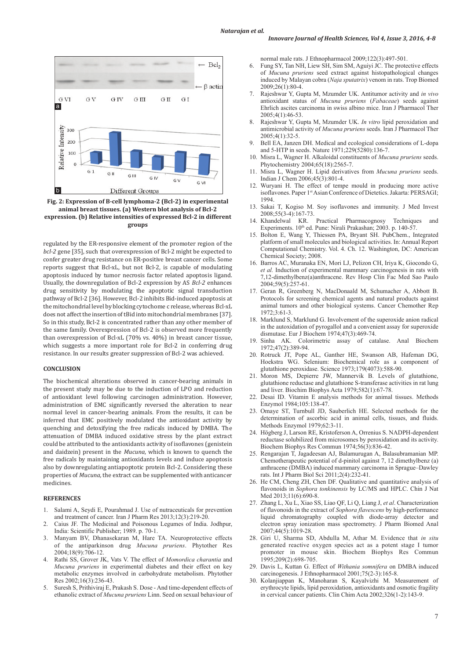

**Fig. 2: Expression of B-cell lymphoma-2 (Bcl-2) in experimental animal breast tissues. (a) Western blot analysis of Bcl-2 expression. (b) Relative intensities of expressed Bcl-2 in different groups**

regulated by the ER-responsive element of the promoter region of the *bcl-2* gene [35], such that overexpression of Bcl-2 might be expected to confer greater drug resistance on ER-positive breast cancer cells. Some reports suggest that Bcl-xL, but not Bcl-2, is capable of modulating apoptosis induced by tumor necrosis factor related apoptosis ligand. Usually, the downregulation of Bcl-2 expression by AS *Bcl-2* enhances drug sensitivity by modulating the apoptotic signal transduction pathway of Bcl-2 [36]. However, Bcl-2 inhibits Bid-induced apoptosis at the mitochondrial level by blocking cytochome c release, whereas Bcl-xL does not affect the insertion of tBid into mitochondrial membranes [37]. So in this study, Bcl-2 is concentrated rather than any other member of the same family. Overexpression of Bcl-2 is observed more frequently than overexpression of Bcl-xL (70% vs. 40%) in breast cancer tissue, which suggests a more important role for Bcl-2 in conferring drug resistance. In our results greater suppression of Bcl-2 was achieved.

#### **CONCLUSION**

The biochemical alterations observed in cancer-bearing animals in the present study may be due to the induction of LPO and reduction of antioxidant level following carcinogen administration. However, administration of EMC significantly reversed the alteration to near normal level in cancer-bearing animals. From the results, it can be inferred that EMC positively modulated the antioxidant activity by quenching and detoxifying the free radicals induced by DMBA. The attenuation of DMBA induced oxidative stress by the plant extract could be attributed to the antioxidants activity of isoflavones (genistein and daidzein) present in the *Mucuna*, which is known to quench the free radicals by maintaining antioxidants levels and induce apoptosis also by downregulating antiapoptotic protein Bcl-2. Considering these properties of *Mucuna,* the extract can be supplemented with anticancer medicines.

#### **REFERENCES**

- 1. Salami A, Seydi E, Pourahmad J. Use of nutraceuticals for prevention and treatment of cancer. Iran J Pharm Res 2013;12(3):219-20.
- 2. Caius JF. The Medicinal and Poisonous Legumes of India. Jodhpur, India: Scientific Publisher; 1989. p. 70-1.
- 3. Manyam BV, Dhanasekaran M, Hare TA. Neuroprotective effects of the antiparkinson drug *Mucuna pruriens*. Phytother Res 2004;18(9):706-12.
- 4. Rathi SS, Grover JK, Vats V. The effect of *Momordica charantia* and *Mucuna pruriens* in experimental diabetes and their effect on key metabolic enzymes involved in carbohydrate metabolism. Phytother Res 2002;16(3):236-43.
- 5. Suresh S, Prithiviraj E, Prakash S. Dose And time-dependent effects of ethanolic extract of *Mucuna pruriens* Linn. Seed on sexual behaviour of

normal male rats. J Ethnopharmacol 2009;122(3):497-501.

- 6. Fung SY, Tan NH, Liew SH, Sim SM, Aguiyi JC. The protective effects of *Mucuna pruriens* seed extract against histopathological changes induced by Malayan cobra (*Naja sputatrix*) venom in rats. Trop Biomed 2009;26(1):80-4.
- 7. Rajeshwar Y, Gupta M, Mzumder UK. Antitumor activity and *in vivo*  antioxidant status of *Mucuna pruriens* (*Fabaceae*) seeds against Ehrlich ascites carcinoma in swiss albino mice. Iran J Pharmacol Ther 2005;4(1):46-53.
- 8. Rajeshwar Y, Gupta M, Mzumder UK. *In vitro* lipid peroxidation and antimicrobial activity of *Mucuna pruriens* seeds. Iran J Pharmacol Ther 2005;4(1):32-5.
- 9. Bell EA, Janzen DH. Medical and ecological considerations of L-dopa and 5-HTP in seeds. Nature 1971;229(5280):136-7.
- 10. Misra L, Wagner H. Alkaloidal constituents of *Mucuna pruriens* seeds. Phytochemistry 2004;65(18):2565-7.
- 11. Misra L, Wagner H. Lipid derivatives from *Mucuna pruriens* seeds. Indian J Chem 2006;45(3):801-4.
- 12. Wuryani H. The effect of tempe mould in producing more active isoflavones. Paper 1st Asian Conference of Dietetics. Jakarta: PERSAGI; 1994.
- 13. Sakai T, Kogiso M. Soy isoflavones and immunity. J Med Invest 2008;55(3-4):167-73.
- 14. Khandelwal KR. Practical Pharmacognosy Techniques and Experiments. 10<sup>th</sup> ed. Pune: Nirali Prakashan; 2003. p. 140-57.
- 15. Bolton E, Wang Y, Thiessen PA, Bryant SH. PubChem., Integrated platform of small molecules and biological activities. In: Annual Report Computational Chemistry. Vol. 4. Ch. 12. Washington, DC: American Chemical Society; 2008.
- 16. Barros AC, Muranaka EN, Mori LJ, Pelizon CH, Iriya K, Giocondo G, *et al.* Induction of experimental mammary carcinogenesis in rats with 7,12-dimethylbenz(a)anthracene. Rev Hosp Clin Fac Med Sao Paulo 2004;59(5):257-61.
- 17. Geran R, Greenberg N, MacDonaald M, Schumacher A, Abbott B. Protocols for screening chemical agents and natural products against animal tumors and other biological systems. Cancer Chemother Rep 1972;3:61-3.
- 18. Marklund S, Marklund G. Involvement of the superoxide anion radical in the autoxidation of pyrogallol and a convenient assay for superoxide dismutase. Eur J Biochem 1974;47(3):469-74.
- Sinha AK. Colorimetric assay of catalase. Anal Biochem 1972;47(2):389-94.
- 20. Rotruck JT, Pope AL, Ganther HE, Swanson AB, Hafeman DG, Hoekstra WG. Selenium: Biochemical role as a component of glutathione peroxidase. Science 1973;179(4073):588-90.
- 21. Moron MS, Depierre JW, Mannervik B. Levels of glutathione, glutathione reductase and glutathione S-transferase activities in rat lung and liver. Biochim Biophys Acta 1979;582(1):67-78.
- 22. Desai ID. Vitamin E analysis methods for animal tissues. Methods Enzymol 1984;105:138-47.
- 23. Omaye ST, Turnbull JD, Sauberlich HE. Selected methods for the determination of ascorbic acid in animal cells, tissues, and fluids. Methods Enzymol 1979;62:3-11.
- 24. Högberg J, Larson RE, Kristoferson A, Orrenius S. NADPH-dependent reductase solubilized from microsomes by peroxidation and its activity. Biochem Biophys Res Commun 1974;56(3):836-42.
- 25. Rengarajan T, Jagadeesan AJ, Balamurugan A, Balasubramanian MP. Chemotherapeutic potential of d-pinitol against 7, 12 dimethylbenz (a) anthracene (DMBA) induced mammary carcinoma in Sprague–Dawley rats. Int J Pharm Biol Sci 2011;2(4):232-41.
- 26. He CM, Cheng ZH, Chen DF. Qualitative and quantitative analysis of flavonoids in *Sophora tonkinensis* by LC/MS and HPLC. Chin J Nat Med 2013;11(6):690-8.
- 27. Zhang L, Xu L, Xiao SS, Liao QF, Li Q, Liang J, *et al*. Characterization of flavonoids in the extract of *Sophora flavescens* by high-performance liquid chromatography coupled with diode-array detector and electron spray ionization mass spectrometry. J Pharm Biomed Anal 2007;44(5):1019-28.
- 28. Giri U, Sharma SD, Abdulla M, Athar M. Evidence that *in situ* generated reactive oxygen species act as a potent stage I tumor promoter in mouse skin. Biochem Biophys Res Commun 1995;209(2):698-705.
- 29. Davis L, Kuttan G. Effect of *Withania somnifera* on DMBA induced carcinogenesis. J Ethnopharmacol 2001;75(2-3):165-8.
- 30. Kolanjiappan K, Manoharan S, Kayalvizhi M. Measurement of erythrocyte lipids, lipid peroxidation, antioxidants and osmotic fragility in cervical cancer patients. Clin Chim Acta 2002;326(1-2):143-9.